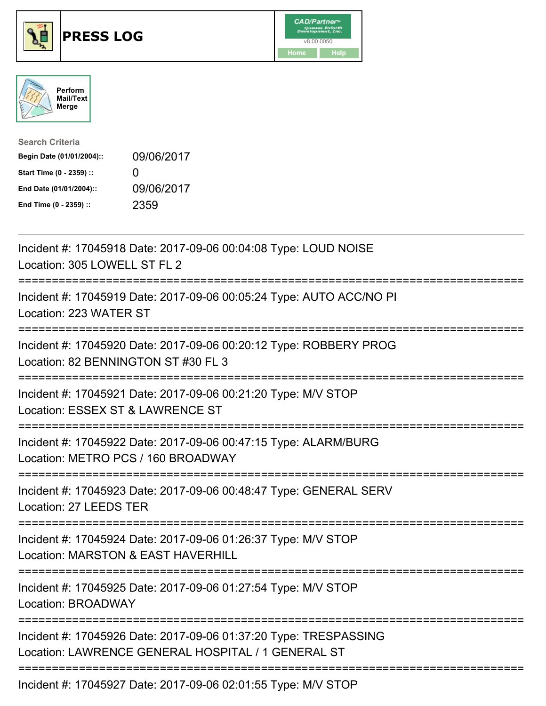





| <b>Search Criteria</b>    |              |
|---------------------------|--------------|
| Begin Date (01/01/2004):: | 09/06/2017   |
| Start Time (0 - 2359) ::  | $\mathbf{U}$ |
| End Date (01/01/2004)::   | 09/06/2017   |
| End Time (0 - 2359) ::    | 2359         |

| Incident #: 17045918 Date: 2017-09-06 00:04:08 Type: LOUD NOISE<br>Location: 305 LOWELL ST FL 2                                  |
|----------------------------------------------------------------------------------------------------------------------------------|
| Incident #: 17045919 Date: 2017-09-06 00:05:24 Type: AUTO ACC/NO PI<br>Location: 223 WATER ST<br>--------------                  |
| Incident #: 17045920 Date: 2017-09-06 00:20:12 Type: ROBBERY PROG<br>Location: 82 BENNINGTON ST #30 FL 3                         |
| Incident #: 17045921 Date: 2017-09-06 00:21:20 Type: M/V STOP<br>Location: ESSEX ST & LAWRENCE ST<br>------------------------    |
| Incident #: 17045922 Date: 2017-09-06 00:47:15 Type: ALARM/BURG<br>Location: METRO PCS / 160 BROADWAY                            |
| Incident #: 17045923 Date: 2017-09-06 00:48:47 Type: GENERAL SERV<br>Location: 27 LEEDS TER                                      |
| Incident #: 17045924 Date: 2017-09-06 01:26:37 Type: M/V STOP<br>Location: MARSTON & EAST HAVERHILL<br>------------------------- |
| Incident #: 17045925 Date: 2017-09-06 01:27:54 Type: M/V STOP<br><b>Location: BROADWAY</b>                                       |
| Incident #: 17045926 Date: 2017-09-06 01:37:20 Type: TRESPASSING<br>Location: LAWRENCE GENERAL HOSPITAL / 1 GENERAL ST           |
| Incident #: 17045927 Date: 2017-09-06 02:01:55 Type: M/V STOP                                                                    |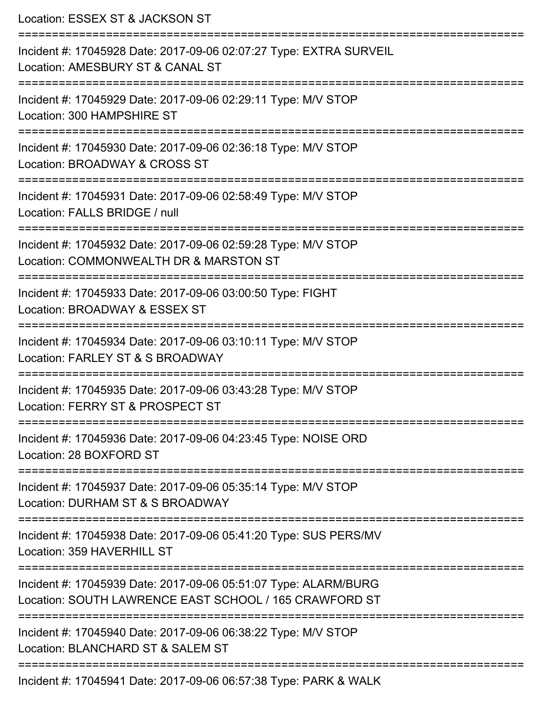| Location: ESSEX ST & JACKSON ST                                                                                                                       |
|-------------------------------------------------------------------------------------------------------------------------------------------------------|
| Incident #: 17045928 Date: 2017-09-06 02:07:27 Type: EXTRA SURVEIL<br>Location: AMESBURY ST & CANAL ST<br>==========================                  |
| Incident #: 17045929 Date: 2017-09-06 02:29:11 Type: M/V STOP<br>Location: 300 HAMPSHIRE ST                                                           |
| Incident #: 17045930 Date: 2017-09-06 02:36:18 Type: M/V STOP<br>Location: BROADWAY & CROSS ST<br>:=================================                  |
| Incident #: 17045931 Date: 2017-09-06 02:58:49 Type: M/V STOP<br>Location: FALLS BRIDGE / null                                                        |
| Incident #: 17045932 Date: 2017-09-06 02:59:28 Type: M/V STOP<br>Location: COMMONWEALTH DR & MARSTON ST<br>=========================                  |
| Incident #: 17045933 Date: 2017-09-06 03:00:50 Type: FIGHT<br>Location: BROADWAY & ESSEX ST                                                           |
| Incident #: 17045934 Date: 2017-09-06 03:10:11 Type: M/V STOP<br>Location: FARLEY ST & S BROADWAY                                                     |
| Incident #: 17045935 Date: 2017-09-06 03:43:28 Type: M/V STOP<br>Location: FERRY ST & PROSPECT ST                                                     |
| ================================<br>Incident #: 17045936 Date: 2017-09-06 04:23:45 Type: NOISE ORD<br>Location: 28 BOXFORD ST                         |
| :============<br>Incident #: 17045937 Date: 2017-09-06 05:35:14 Type: M/V STOP<br>Location: DURHAM ST & S BROADWAY                                    |
| =======================<br>Incident #: 17045938 Date: 2017-09-06 05:41:20 Type: SUS PERS/MV<br>Location: 359 HAVERHILL ST                             |
| ========================<br>Incident #: 17045939 Date: 2017-09-06 05:51:07 Type: ALARM/BURG<br>Location: SOUTH LAWRENCE EAST SCHOOL / 165 CRAWFORD ST |
| Incident #: 17045940 Date: 2017-09-06 06:38:22 Type: M/V STOP<br>Location: BLANCHARD ST & SALEM ST                                                    |
| Incident #: 17045941 Date: 2017-09-06 06:57:38 Type: PARK & WALK                                                                                      |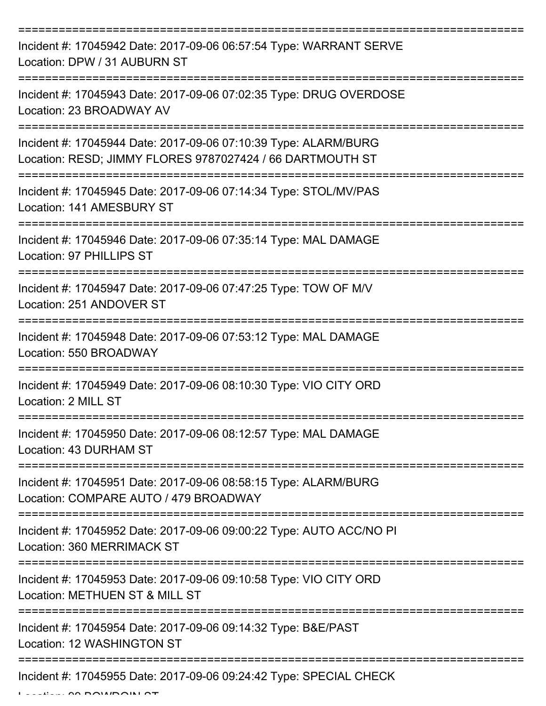| Incident #: 17045942 Date: 2017-09-06 06:57:54 Type: WARRANT SERVE<br>Location: DPW / 31 AUBURN ST                           |
|------------------------------------------------------------------------------------------------------------------------------|
| Incident #: 17045943 Date: 2017-09-06 07:02:35 Type: DRUG OVERDOSE<br>Location: 23 BROADWAY AV                               |
| Incident #: 17045944 Date: 2017-09-06 07:10:39 Type: ALARM/BURG<br>Location: RESD; JIMMY FLORES 9787027424 / 66 DARTMOUTH ST |
| Incident #: 17045945 Date: 2017-09-06 07:14:34 Type: STOL/MV/PAS<br>Location: 141 AMESBURY ST                                |
| Incident #: 17045946 Date: 2017-09-06 07:35:14 Type: MAL DAMAGE<br>Location: 97 PHILLIPS ST                                  |
| Incident #: 17045947 Date: 2017-09-06 07:47:25 Type: TOW OF M/V<br>Location: 251 ANDOVER ST                                  |
| Incident #: 17045948 Date: 2017-09-06 07:53:12 Type: MAL DAMAGE<br>Location: 550 BROADWAY                                    |
| Incident #: 17045949 Date: 2017-09-06 08:10:30 Type: VIO CITY ORD<br>Location: 2 MILL ST                                     |
| Incident #: 17045950 Date: 2017-09-06 08:12:57 Type: MAL DAMAGE<br>Location: 43 DURHAM ST                                    |
| ----------------<br>Incident #: 17045951 Date: 2017-09-06 08:58:15 Type: ALARM/BURG<br>Location: COMPARE AUTO / 479 BROADWAY |
| Incident #: 17045952 Date: 2017-09-06 09:00:22 Type: AUTO ACC/NO PI<br>Location: 360 MERRIMACK ST                            |
| Incident #: 17045953 Date: 2017-09-06 09:10:58 Type: VIO CITY ORD<br>Location: METHUEN ST & MILL ST                          |
| Incident #: 17045954 Date: 2017-09-06 09:14:32 Type: B&E/PAST<br>Location: 12 WASHINGTON ST                                  |
| Incident #: 17045955 Date: 2017-09-06 09:24:42 Type: SPECIAL CHECK                                                           |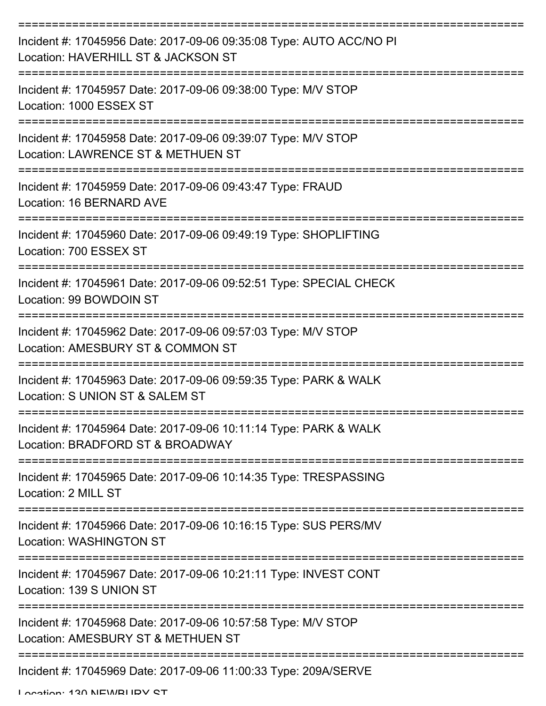| Incident #: 17045956 Date: 2017-09-06 09:35:08 Type: AUTO ACC/NO PI<br>Location: HAVERHILL ST & JACKSON ST |
|------------------------------------------------------------------------------------------------------------|
| Incident #: 17045957 Date: 2017-09-06 09:38:00 Type: M/V STOP<br>Location: 1000 ESSEX ST                   |
| Incident #: 17045958 Date: 2017-09-06 09:39:07 Type: M/V STOP<br>Location: LAWRENCE ST & METHUEN ST        |
| Incident #: 17045959 Date: 2017-09-06 09:43:47 Type: FRAUD<br>Location: 16 BERNARD AVE                     |
| Incident #: 17045960 Date: 2017-09-06 09:49:19 Type: SHOPLIFTING<br>Location: 700 ESSEX ST                 |
| Incident #: 17045961 Date: 2017-09-06 09:52:51 Type: SPECIAL CHECK<br>Location: 99 BOWDOIN ST              |
| Incident #: 17045962 Date: 2017-09-06 09:57:03 Type: M/V STOP<br>Location: AMESBURY ST & COMMON ST         |
| Incident #: 17045963 Date: 2017-09-06 09:59:35 Type: PARK & WALK<br>Location: S UNION ST & SALEM ST        |
| Incident #: 17045964 Date: 2017-09-06 10:11:14 Type: PARK & WALK<br>Location: BRADFORD ST & BROADWAY       |
| Incident #: 17045965 Date: 2017-09-06 10:14:35 Type: TRESPASSING<br>Location: 2 MILL ST                    |
| Incident #: 17045966 Date: 2017-09-06 10:16:15 Type: SUS PERS/MV<br><b>Location: WASHINGTON ST</b>         |
| Incident #: 17045967 Date: 2017-09-06 10:21:11 Type: INVEST CONT<br>Location: 139 S UNION ST               |
| Incident #: 17045968 Date: 2017-09-06 10:57:58 Type: M/V STOP<br>Location: AMESBURY ST & METHUEN ST        |
| Incident #: 17045969 Date: 2017-09-06 11:00:33 Type: 209A/SERVE                                            |

Location: 130 NEWBUDY ST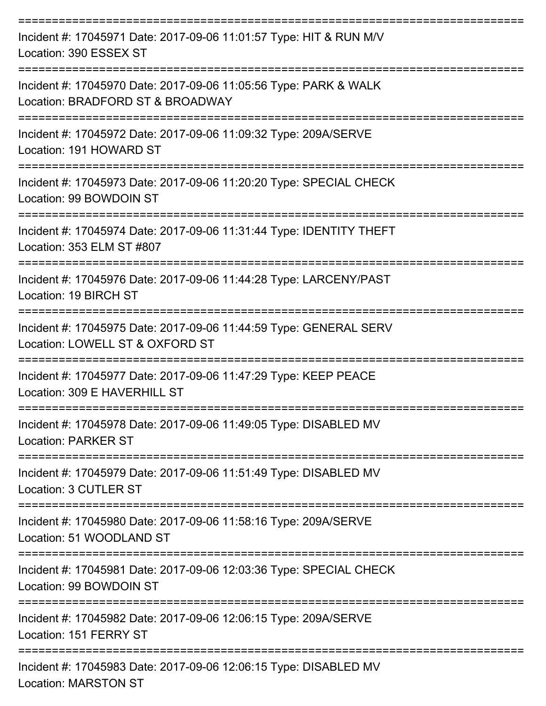| Incident #: 17045971 Date: 2017-09-06 11:01:57 Type: HIT & RUN M/V<br>Location: 390 ESSEX ST                    |
|-----------------------------------------------------------------------------------------------------------------|
| Incident #: 17045970 Date: 2017-09-06 11:05:56 Type: PARK & WALK<br>Location: BRADFORD ST & BROADWAY            |
| Incident #: 17045972 Date: 2017-09-06 11:09:32 Type: 209A/SERVE<br>Location: 191 HOWARD ST                      |
| Incident #: 17045973 Date: 2017-09-06 11:20:20 Type: SPECIAL CHECK<br>Location: 99 BOWDOIN ST                   |
| Incident #: 17045974 Date: 2017-09-06 11:31:44 Type: IDENTITY THEFT<br>Location: 353 ELM ST #807                |
| Incident #: 17045976 Date: 2017-09-06 11:44:28 Type: LARCENY/PAST<br>Location: 19 BIRCH ST                      |
| Incident #: 17045975 Date: 2017-09-06 11:44:59 Type: GENERAL SERV<br>Location: LOWELL ST & OXFORD ST            |
| Incident #: 17045977 Date: 2017-09-06 11:47:29 Type: KEEP PEACE<br>Location: 309 E HAVERHILL ST                 |
| Incident #: 17045978 Date: 2017-09-06 11:49:05 Type: DISABLED MV<br><b>Location: PARKER ST</b>                  |
| ------------------<br>Incident #: 17045979 Date: 2017-09-06 11:51:49 Type: DISABLED MV<br>Location: 3 CUTLER ST |
| Incident #: 17045980 Date: 2017-09-06 11:58:16 Type: 209A/SERVE<br>Location: 51 WOODLAND ST                     |
| Incident #: 17045981 Date: 2017-09-06 12:03:36 Type: SPECIAL CHECK<br>Location: 99 BOWDOIN ST                   |
| Incident #: 17045982 Date: 2017-09-06 12:06:15 Type: 209A/SERVE<br>Location: 151 FERRY ST                       |
| Incident #: 17045983 Date: 2017-09-06 12:06:15 Type: DISABLED MV<br><b>Location: MARSTON ST</b>                 |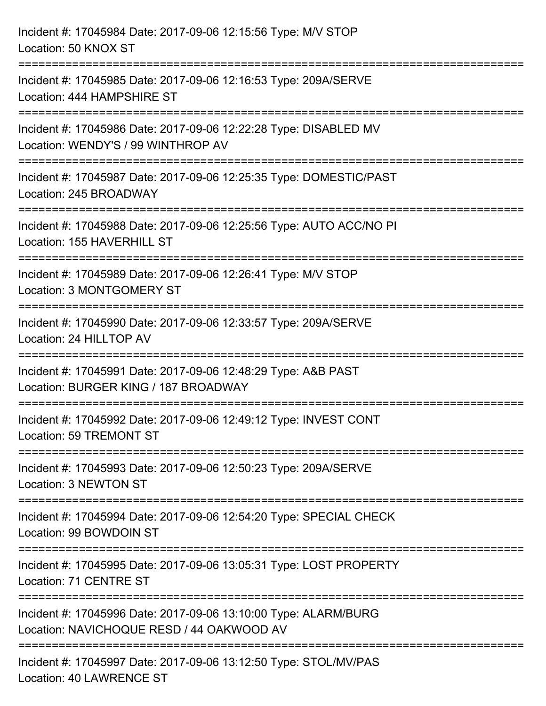| Incident #: 17045984 Date: 2017-09-06 12:15:56 Type: M/V STOP<br>Location: 50 KNOX ST                                         |
|-------------------------------------------------------------------------------------------------------------------------------|
| Incident #: 17045985 Date: 2017-09-06 12:16:53 Type: 209A/SERVE<br>Location: 444 HAMPSHIRE ST                                 |
| :==================<br>Incident #: 17045986 Date: 2017-09-06 12:22:28 Type: DISABLED MV<br>Location: WENDY'S / 99 WINTHROP AV |
| Incident #: 17045987 Date: 2017-09-06 12:25:35 Type: DOMESTIC/PAST<br>Location: 245 BROADWAY                                  |
| Incident #: 17045988 Date: 2017-09-06 12:25:56 Type: AUTO ACC/NO PI<br>Location: 155 HAVERHILL ST                             |
| Incident #: 17045989 Date: 2017-09-06 12:26:41 Type: M/V STOP<br>Location: 3 MONTGOMERY ST                                    |
| -------------------<br>Incident #: 17045990 Date: 2017-09-06 12:33:57 Type: 209A/SERVE<br>Location: 24 HILLTOP AV             |
| Incident #: 17045991 Date: 2017-09-06 12:48:29 Type: A&B PAST<br>Location: BURGER KING / 187 BROADWAY                         |
| Incident #: 17045992 Date: 2017-09-06 12:49:12 Type: INVEST CONT<br>Location: 59 TREMONT ST                                   |
| Incident #: 17045993 Date: 2017-09-06 12:50:23 Type: 209A/SERVE<br>Location: 3 NEWTON ST                                      |
| Incident #: 17045994 Date: 2017-09-06 12:54:20 Type: SPECIAL CHECK<br>Location: 99 BOWDOIN ST                                 |
| Incident #: 17045995 Date: 2017-09-06 13:05:31 Type: LOST PROPERTY<br>Location: 71 CENTRE ST                                  |
| Incident #: 17045996 Date: 2017-09-06 13:10:00 Type: ALARM/BURG<br>Location: NAVICHOQUE RESD / 44 OAKWOOD AV                  |
| Incident #: 17045997 Date: 2017-09-06 13:12:50 Type: STOL/MV/PAS<br><b>Location: 40 LAWRENCE ST</b>                           |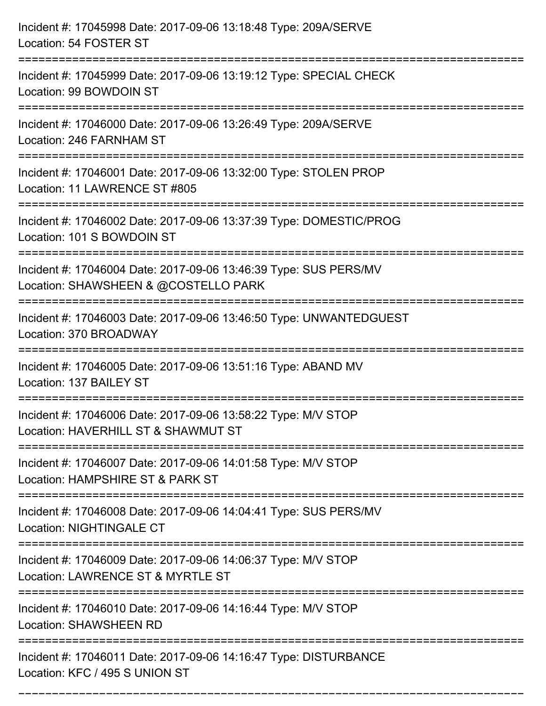| Incident #: 17045998 Date: 2017-09-06 13:18:48 Type: 209A/SERVE<br>Location: 54 FOSTER ST                                                 |
|-------------------------------------------------------------------------------------------------------------------------------------------|
| Incident #: 17045999 Date: 2017-09-06 13:19:12 Type: SPECIAL CHECK<br>Location: 99 BOWDOIN ST                                             |
| Incident #: 17046000 Date: 2017-09-06 13:26:49 Type: 209A/SERVE<br>Location: 246 FARNHAM ST<br>==============================             |
| Incident #: 17046001 Date: 2017-09-06 13:32:00 Type: STOLEN PROP<br>Location: 11 LAWRENCE ST #805                                         |
| Incident #: 17046002 Date: 2017-09-06 13:37:39 Type: DOMESTIC/PROG<br>Location: 101 S BOWDOIN ST                                          |
| Incident #: 17046004 Date: 2017-09-06 13:46:39 Type: SUS PERS/MV<br>Location: SHAWSHEEN & @COSTELLO PARK<br>:============================ |
| Incident #: 17046003 Date: 2017-09-06 13:46:50 Type: UNWANTEDGUEST<br>Location: 370 BROADWAY                                              |
| Incident #: 17046005 Date: 2017-09-06 13:51:16 Type: ABAND MV<br>Location: 137 BAILEY ST                                                  |
| Incident #: 17046006 Date: 2017-09-06 13:58:22 Type: M/V STOP<br>Location: HAVERHILL ST & SHAWMUT ST                                      |
| Incident #: 17046007 Date: 2017-09-06 14:01:58 Type: M/V STOP<br>Location: HAMPSHIRE ST & PARK ST                                         |
| Incident #: 17046008 Date: 2017-09-06 14:04:41 Type: SUS PERS/MV<br><b>Location: NIGHTINGALE CT</b>                                       |
| Incident #: 17046009 Date: 2017-09-06 14:06:37 Type: M/V STOP<br>Location: LAWRENCE ST & MYRTLE ST                                        |
| Incident #: 17046010 Date: 2017-09-06 14:16:44 Type: M/V STOP<br><b>Location: SHAWSHEEN RD</b>                                            |
| Incident #: 17046011 Date: 2017-09-06 14:16:47 Type: DISTURBANCE<br>Location: KFC / 495 S UNION ST                                        |

===========================================================================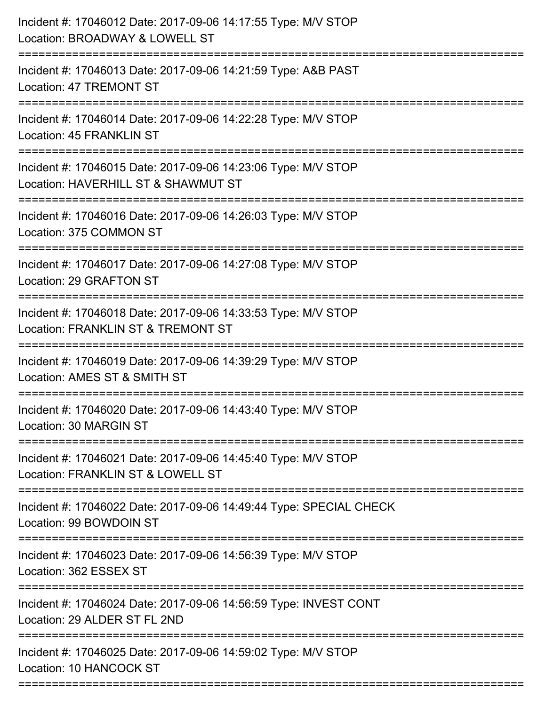| Incident #: 17046012 Date: 2017-09-06 14:17:55 Type: M/V STOP<br>Location: BROADWAY & LOWELL ST                                   |
|-----------------------------------------------------------------------------------------------------------------------------------|
| Incident #: 17046013 Date: 2017-09-06 14:21:59 Type: A&B PAST<br><b>Location: 47 TREMONT ST</b>                                   |
| Incident #: 17046014 Date: 2017-09-06 14:22:28 Type: M/V STOP<br>Location: 45 FRANKLIN ST<br>:=================================== |
| Incident #: 17046015 Date: 2017-09-06 14:23:06 Type: M/V STOP<br>Location: HAVERHILL ST & SHAWMUT ST                              |
| Incident #: 17046016 Date: 2017-09-06 14:26:03 Type: M/V STOP<br>Location: 375 COMMON ST                                          |
| Incident #: 17046017 Date: 2017-09-06 14:27:08 Type: M/V STOP<br>Location: 29 GRAFTON ST                                          |
| Incident #: 17046018 Date: 2017-09-06 14:33:53 Type: M/V STOP<br>Location: FRANKLIN ST & TREMONT ST<br>=================          |
| Incident #: 17046019 Date: 2017-09-06 14:39:29 Type: M/V STOP<br>Location: AMES ST & SMITH ST                                     |
| Incident #: 17046020 Date: 2017-09-06 14:43:40 Type: M/V STOP<br>Location: 30 MARGIN ST                                           |
| Incident #: 17046021 Date: 2017-09-06 14:45:40 Type: M/V STOP<br>Location: FRANKLIN ST & LOWELL ST                                |
| Incident #: 17046022 Date: 2017-09-06 14:49:44 Type: SPECIAL CHECK<br>Location: 99 BOWDOIN ST                                     |
| Incident #: 17046023 Date: 2017-09-06 14:56:39 Type: M/V STOP<br>Location: 362 ESSEX ST                                           |
| Incident #: 17046024 Date: 2017-09-06 14:56:59 Type: INVEST CONT<br>Location: 29 ALDER ST FL 2ND                                  |
| Incident #: 17046025 Date: 2017-09-06 14:59:02 Type: M/V STOP<br>Location: 10 HANCOCK ST                                          |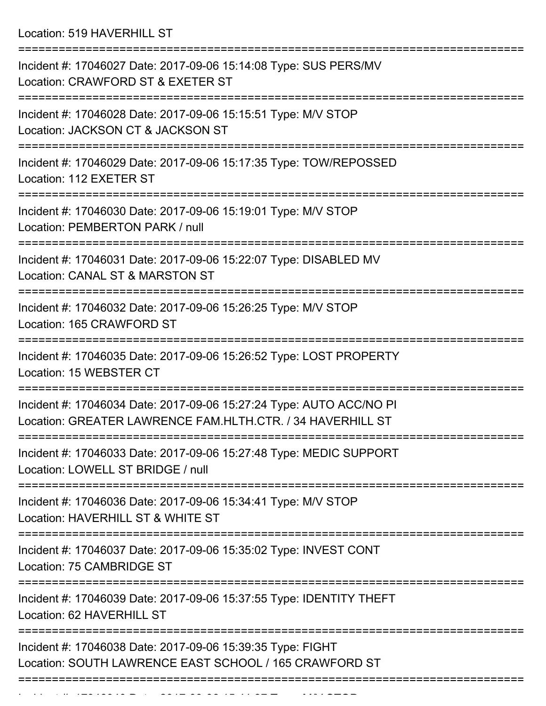Location: 519 HAVERHILL ST

| Incident #: 17046027 Date: 2017-09-06 15:14:08 Type: SUS PERS/MV<br>Location: CRAWFORD ST & EXETER ST                             |
|-----------------------------------------------------------------------------------------------------------------------------------|
| Incident #: 17046028 Date: 2017-09-06 15:15:51 Type: M/V STOP<br>Location: JACKSON CT & JACKSON ST                                |
| Incident #: 17046029 Date: 2017-09-06 15:17:35 Type: TOW/REPOSSED<br>Location: 112 EXETER ST                                      |
| Incident #: 17046030 Date: 2017-09-06 15:19:01 Type: M/V STOP<br>Location: PEMBERTON PARK / null                                  |
| Incident #: 17046031 Date: 2017-09-06 15:22:07 Type: DISABLED MV<br>Location: CANAL ST & MARSTON ST                               |
| Incident #: 17046032 Date: 2017-09-06 15:26:25 Type: M/V STOP<br>Location: 165 CRAWFORD ST                                        |
| Incident #: 17046035 Date: 2017-09-06 15:26:52 Type: LOST PROPERTY<br>Location: 15 WEBSTER CT                                     |
| Incident #: 17046034 Date: 2017-09-06 15:27:24 Type: AUTO ACC/NO PI<br>Location: GREATER LAWRENCE FAM.HLTH.CTR. / 34 HAVERHILL ST |
| Incident #: 17046033 Date: 2017-09-06 15:27:48 Type: MEDIC SUPPORT<br>Location: LOWELL ST BRIDGE / null                           |
| :==================<br>Incident #: 17046036 Date: 2017-09-06 15:34:41 Type: M/V STOP<br>Location: HAVERHILL ST & WHITE ST         |
| Incident #: 17046037 Date: 2017-09-06 15:35:02 Type: INVEST CONT<br>Location: 75 CAMBRIDGE ST                                     |
| Incident #: 17046039 Date: 2017-09-06 15:37:55 Type: IDENTITY THEFT<br>Location: 62 HAVERHILL ST                                  |
| Incident #: 17046038 Date: 2017-09-06 15:39:35 Type: FIGHT<br>Location: SOUTH LAWRENCE EAST SCHOOL / 165 CRAWFORD ST              |
|                                                                                                                                   |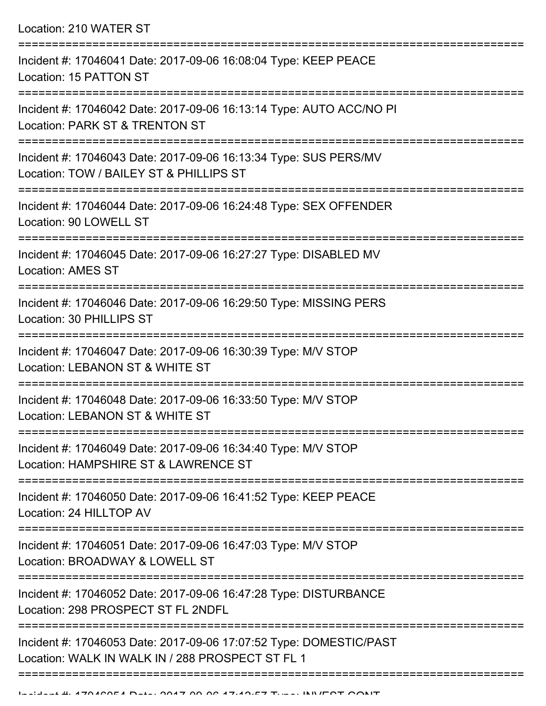Location: 210 WATER ST

| Incident #: 17046041 Date: 2017-09-06 16:08:04 Type: KEEP PEACE<br>Location: 15 PATTON ST                              |
|------------------------------------------------------------------------------------------------------------------------|
| Incident #: 17046042 Date: 2017-09-06 16:13:14 Type: AUTO ACC/NO PI<br>Location: PARK ST & TRENTON ST                  |
| Incident #: 17046043 Date: 2017-09-06 16:13:34 Type: SUS PERS/MV<br>Location: TOW / BAILEY ST & PHILLIPS ST            |
| Incident #: 17046044 Date: 2017-09-06 16:24:48 Type: SEX OFFENDER<br>Location: 90 LOWELL ST                            |
| Incident #: 17046045 Date: 2017-09-06 16:27:27 Type: DISABLED MV<br><b>Location: AMES ST</b>                           |
| Incident #: 17046046 Date: 2017-09-06 16:29:50 Type: MISSING PERS<br>Location: 30 PHILLIPS ST                          |
| Incident #: 17046047 Date: 2017-09-06 16:30:39 Type: M/V STOP<br>Location: LEBANON ST & WHITE ST                       |
| Incident #: 17046048 Date: 2017-09-06 16:33:50 Type: M/V STOP<br>Location: LEBANON ST & WHITE ST                       |
| Incident #: 17046049 Date: 2017-09-06 16:34:40 Type: M/V STOP<br>Location: HAMPSHIRE ST & LAWRENCE ST                  |
| Incident #: 17046050 Date: 2017-09-06 16:41:52 Type: KEEP PEACE<br>Location: 24 HILLTOP AV                             |
| Incident #: 17046051 Date: 2017-09-06 16:47:03 Type: M/V STOP<br>Location: BROADWAY & LOWELL ST                        |
| Incident #: 17046052 Date: 2017-09-06 16:47:28 Type: DISTURBANCE<br>Location: 298 PROSPECT ST FL 2NDFL                 |
| Incident #: 17046053 Date: 2017-09-06 17:07:52 Type: DOMESTIC/PAST<br>Location: WALK IN WALK IN / 288 PROSPECT ST FL 1 |
|                                                                                                                        |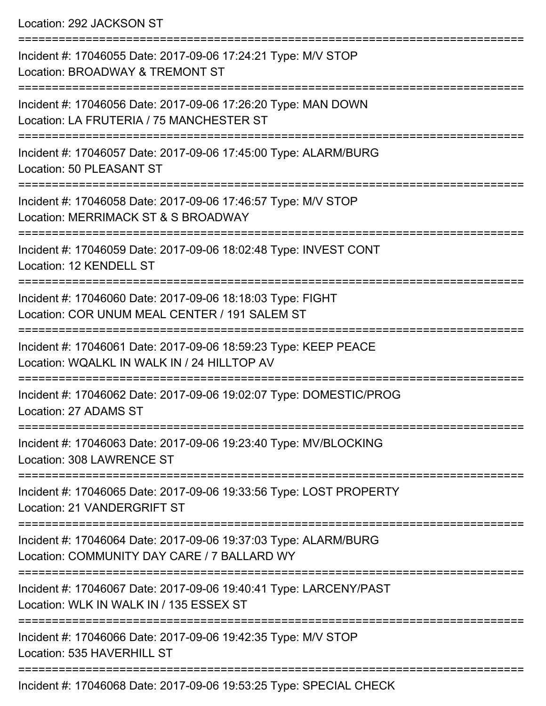Location: 292 JACKSON ST

=========================================================================== Incident #: 17046055 Date: 2017-09-06 17:24:21 Type: M/V STOP Location: BROADWAY & TREMONT ST =========================================================================== Incident #: 17046056 Date: 2017-09-06 17:26:20 Type: MAN DOWN Location: LA FRUTERIA / 75 MANCHESTER ST =========================================================================== Incident #: 17046057 Date: 2017-09-06 17:45:00 Type: ALARM/BURG Location: 50 PLEASANT ST =========================================================================== Incident #: 17046058 Date: 2017-09-06 17:46:57 Type: M/V STOP Location: MERRIMACK ST & S BROADWAY =========================================================================== Incident #: 17046059 Date: 2017-09-06 18:02:48 Type: INVEST CONT Location: 12 KENDELL ST =========================================================================== Incident #: 17046060 Date: 2017-09-06 18:18:03 Type: FIGHT Location: COR UNUM MEAL CENTER / 191 SALEM ST =========================================================================== Incident #: 17046061 Date: 2017-09-06 18:59:23 Type: KEEP PEACE Location: WQALKL IN WALK IN / 24 HILLTOP AV =========================================================================== Incident #: 17046062 Date: 2017-09-06 19:02:07 Type: DOMESTIC/PROG Location: 27 ADAMS ST =========================================================================== Incident #: 17046063 Date: 2017-09-06 19:23:40 Type: MV/BLOCKING Location: 308 LAWRENCE ST =========================================================================== Incident #: 17046065 Date: 2017-09-06 19:33:56 Type: LOST PROPERTY Location: 21 VANDERGRIFT ST =========================================================================== Incident #: 17046064 Date: 2017-09-06 19:37:03 Type: ALARM/BURG Location: COMMUNITY DAY CARE / 7 BALLARD WY =========================================================================== Incident #: 17046067 Date: 2017-09-06 19:40:41 Type: LARCENY/PAST Location: WLK IN WALK IN / 135 ESSEX ST =========================================================================== Incident #: 17046066 Date: 2017-09-06 19:42:35 Type: M/V STOP Location: 535 HAVERHILL ST ===========================================================================

Incident #: 17046068 Date: 2017-09-06 19:53:25 Type: SPECIAL CHECK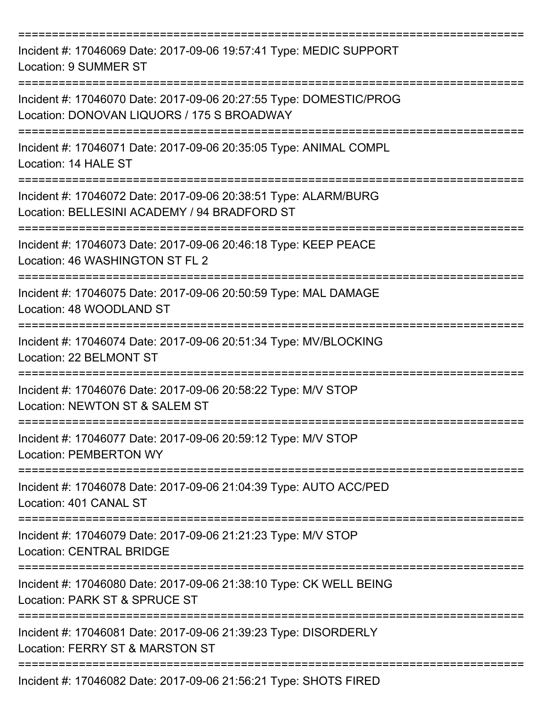| Incident #: 17046069 Date: 2017-09-06 19:57:41 Type: MEDIC SUPPORT<br>Location: 9 SUMMER ST                                      |
|----------------------------------------------------------------------------------------------------------------------------------|
| Incident #: 17046070 Date: 2017-09-06 20:27:55 Type: DOMESTIC/PROG<br>Location: DONOVAN LIQUORS / 175 S BROADWAY                 |
| Incident #: 17046071 Date: 2017-09-06 20:35:05 Type: ANIMAL COMPL<br>Location: 14 HALE ST                                        |
| Incident #: 17046072 Date: 2017-09-06 20:38:51 Type: ALARM/BURG<br>Location: BELLESINI ACADEMY / 94 BRADFORD ST                  |
| Incident #: 17046073 Date: 2017-09-06 20:46:18 Type: KEEP PEACE<br>Location: 46 WASHINGTON ST FL 2                               |
| Incident #: 17046075 Date: 2017-09-06 20:50:59 Type: MAL DAMAGE<br>Location: 48 WOODLAND ST                                      |
| Incident #: 17046074 Date: 2017-09-06 20:51:34 Type: MV/BLOCKING<br>Location: 22 BELMONT ST                                      |
| Incident #: 17046076 Date: 2017-09-06 20:58:22 Type: M/V STOP<br>Location: NEWTON ST & SALEM ST                                  |
| ==============================<br>Incident #: 17046077 Date: 2017-09-06 20:59:12 Type: M/V STOP<br><b>Location: PEMBERTON WY</b> |
| Incident #: 17046078 Date: 2017-09-06 21:04:39 Type: AUTO ACC/PED<br>Location: 401 CANAL ST                                      |
| Incident #: 17046079 Date: 2017-09-06 21:21:23 Type: M/V STOP<br><b>Location: CENTRAL BRIDGE</b>                                 |
| Incident #: 17046080 Date: 2017-09-06 21:38:10 Type: CK WELL BEING<br>Location: PARK ST & SPRUCE ST                              |
| Incident #: 17046081 Date: 2017-09-06 21:39:23 Type: DISORDERLY<br>Location: FERRY ST & MARSTON ST                               |
| Incident #: 17046082 Date: 2017-09-06 21:56:21 Type: SHOTS FIRED                                                                 |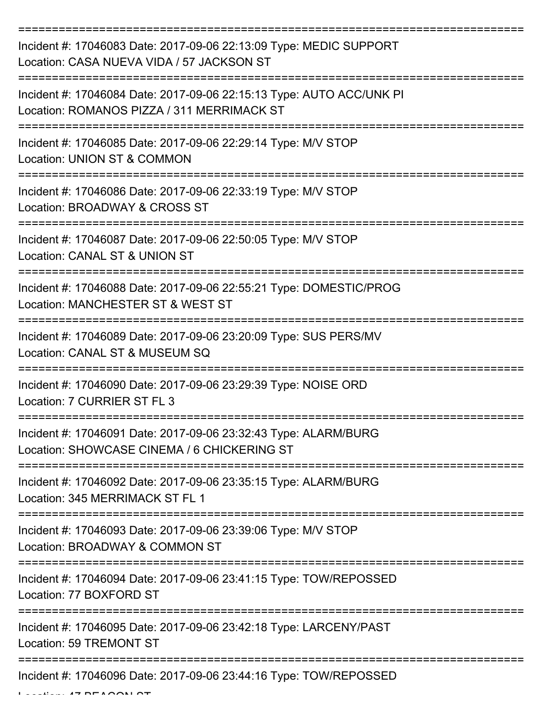| Incident #: 17046083 Date: 2017-09-06 22:13:09 Type: MEDIC SUPPORT<br>Location: CASA NUEVA VIDA / 57 JACKSON ST    |
|--------------------------------------------------------------------------------------------------------------------|
| Incident #: 17046084 Date: 2017-09-06 22:15:13 Type: AUTO ACC/UNK PI<br>Location: ROMANOS PIZZA / 311 MERRIMACK ST |
| Incident #: 17046085 Date: 2017-09-06 22:29:14 Type: M/V STOP<br>Location: UNION ST & COMMON                       |
| Incident #: 17046086 Date: 2017-09-06 22:33:19 Type: M/V STOP<br>Location: BROADWAY & CROSS ST                     |
| Incident #: 17046087 Date: 2017-09-06 22:50:05 Type: M/V STOP<br>Location: CANAL ST & UNION ST                     |
| Incident #: 17046088 Date: 2017-09-06 22:55:21 Type: DOMESTIC/PROG<br>Location: MANCHESTER ST & WEST ST            |
| Incident #: 17046089 Date: 2017-09-06 23:20:09 Type: SUS PERS/MV<br>Location: CANAL ST & MUSEUM SQ                 |
| Incident #: 17046090 Date: 2017-09-06 23:29:39 Type: NOISE ORD<br>Location: 7 CURRIER ST FL 3                      |
| Incident #: 17046091 Date: 2017-09-06 23:32:43 Type: ALARM/BURG<br>Location: SHOWCASE CINEMA / 6 CHICKERING ST     |
| Incident #: 17046092 Date: 2017-09-06 23:35:15 Type: ALARM/BURG<br>Location: 345 MERRIMACK ST FL 1                 |
| Incident #: 17046093 Date: 2017-09-06 23:39:06 Type: M/V STOP<br>Location: BROADWAY & COMMON ST                    |
| Incident #: 17046094 Date: 2017-09-06 23:41:15 Type: TOW/REPOSSED<br>Location: 77 BOXFORD ST                       |
| Incident #: 17046095 Date: 2017-09-06 23:42:18 Type: LARCENY/PAST<br><b>Location: 59 TREMONT ST</b>                |
| Incident #: 17046096 Date: 2017-09-06 23:44:16 Type: TOW/REPOSSED                                                  |